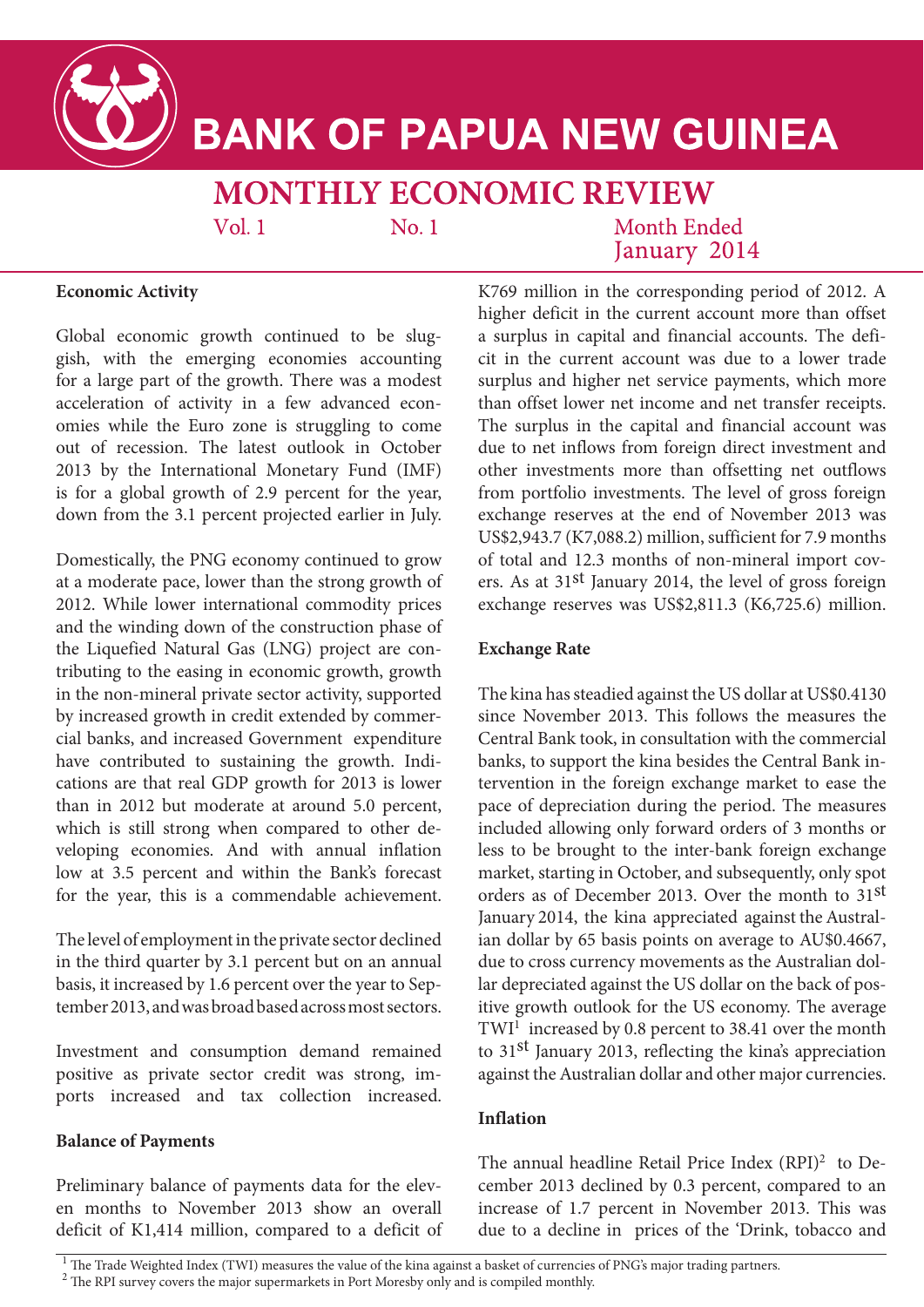

# **BANK OF PAPUA NEW GUINEA**

## **MONTHLY ECONOMIC REVIEW**

 $Vol<sub>1</sub>$ 

 $No.1$ 

Month Ended January 2014

#### **Economic Activity**

Global economic growth continued to be sluggish, with the emerging economies accounting for a large part of the growth. There was a modest acceleration of activity in a few advanced economies while the Euro zone is struggling to come out of recession. The latest outlook in October 2013 by the International Monetary Fund (IMF) is for a global growth of 2.9 percent for the year, down from the 3.1 percent projected earlier in July.

Domestically, the PNG economy continued to grow at a moderate pace, lower than the strong growth of 2012. While lower international commodity prices and the winding down of the construction phase of the Liquefied Natural Gas (LNG) project are contributing to the easing in economic growth, growth in the non-mineral private sector activity, supported by increased growth in credit extended by commercial banks, and increased Government expenditure have contributed to sustaining the growth. Indications are that real GDP growth for 2013 is lower than in 2012 but moderate at around 5.0 percent, which is still strong when compared to other developing economies. And with annual inflation low at 3.5 percent and within the Bank's forecast for the year, this is a commendable achievement.

The level of employment in the private sector declined in the third quarter by 3.1 percent but on an annual basis, it increased by 1.6 percent over the year to September 2013, and was broad based across most sectors.

Investment and consumption demand remained positive as private sector credit was strong, imports increased and tax collection increased.

#### **Balance of Payments**

Preliminary balance of payments data for the eleven months to November 2013 show an overall deficit of K1,414 million, compared to a deficit of K769 million in the corresponding period of 2012. A higher deficit in the current account more than offset a surplus in capital and financial accounts. The deficit in the current account was due to a lower trade surplus and higher net service payments, which more than offset lower net income and net transfer receipts. The surplus in the capital and financial account was due to net inflows from foreign direct investment and other investments more than offsetting net outflows from portfolio investments. The level of gross foreign exchange reserves at the end of November 2013 was US\$2,943.7 (K7,088.2) million, sufficient for 7.9 months of total and 12.3 months of non-mineral import covers. As at 31st January 2014, the level of gross foreign exchange reserves was US\$2,811.3 (K6,725.6) million.

#### **Exchange Rate**

The kina has steadied against the US dollar at US\$0.4130 since November 2013. This follows the measures the Central Bank took, in consultation with the commercial banks, to support the kina besides the Central Bank intervention in the foreign exchange market to ease the pace of depreciation during the period. The measures included allowing only forward orders of 3 months or less to be brought to the inter-bank foreign exchange market, starting in October, and subsequently, only spot orders as of December 2013. Over the month to 31st January 2014, the kina appreciated against the Australian dollar by 65 basis points on average to AU\$0.4667, due to cross currency movements as the Australian dollar depreciated against the US dollar on the back of positive growth outlook for the US economy. The average TWI<sup>1</sup> increased by 0.8 percent to 38.41 over the month to 31st January 2013, reflecting the kina's appreciation against the Australian dollar and other major currencies.

#### **Inflation**

The annual headline Retail Price Index (RPI)<sup>2</sup> to December 2013 declined by 0.3 percent, compared to an increase of 1.7 percent in November 2013. This was due to a decline in prices of the 'Drink, tobacco and

<sup>1</sup> The Trade Weighted Index (TWI) measures the value of the kina against a basket of currencies of PNG's major trading partners.

<sup>&</sup>lt;sup>2</sup> The RPI survey covers the major supermarkets in Port Moresby only and is compiled monthly.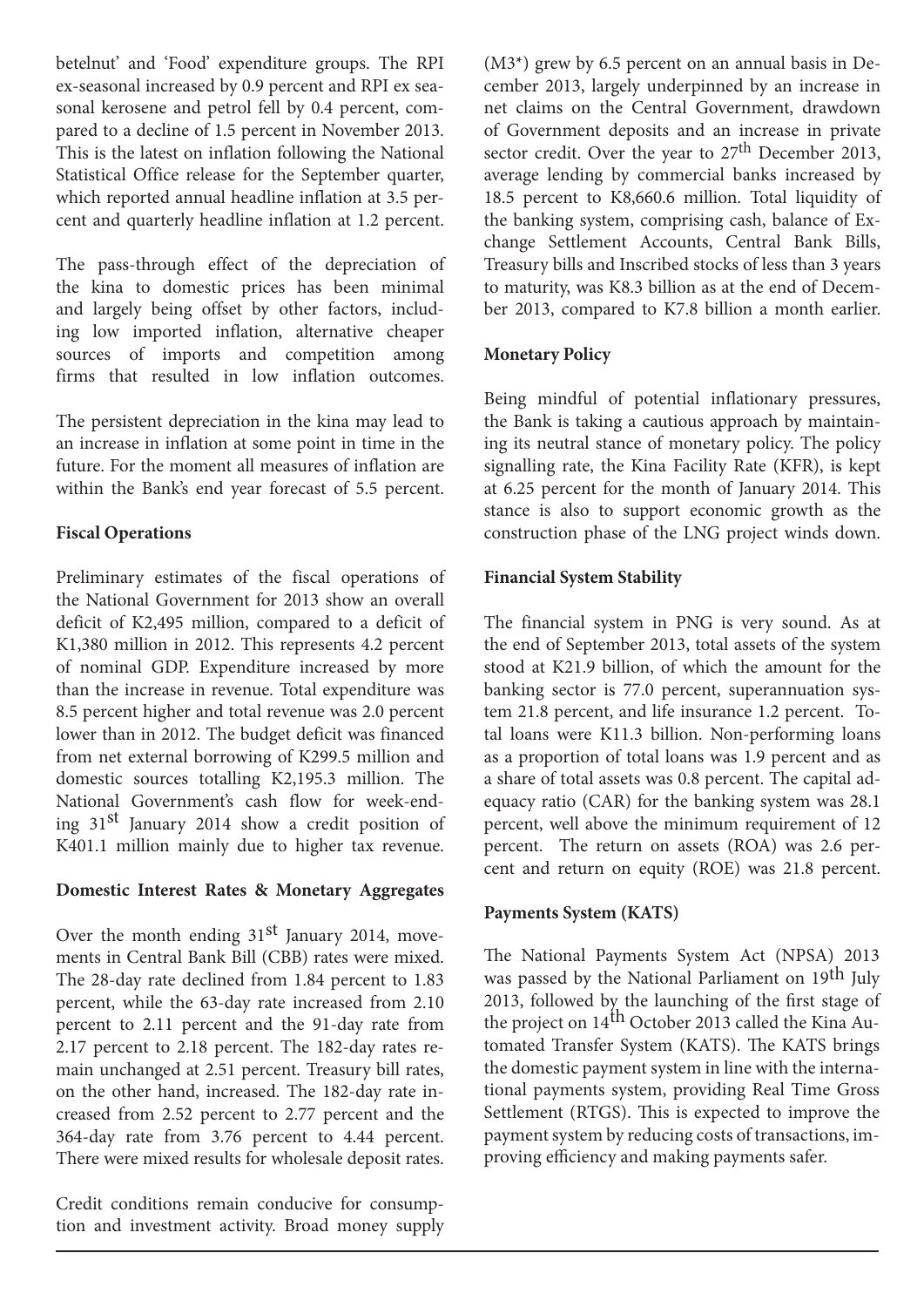betelnut' and 'Food' expenditure groups. The RPI ex-seasonal increased by 0.9 percent and RPI ex seasonal kerosene and petrol fell by 0.4 percent, compared to a decline of 1.5 percent in November 2013. This is the latest on inflation following the National Statistical Office release for the September quarter, which reported annual headline inflation at 3.5 percent and quarterly headline inflation at 1.2 percent.

The pass-through effect of the depreciation of the kina to domestic prices has been minimal and largely being offset by other factors, including low imported inflation, alternative cheaper sources of imports and competition among firms that resulted in low inflation outcomes.

The persistent depreciation in the kina may lead to an increase in inflation at some point in time in the future. For the moment all measures of inflation are within the Bank's end year forecast of 5.5 percent.

#### **Fiscal Operations**

Preliminary estimates of the fiscal operations of the National Government for 2013 show an overall deficit of K2,495 million, compared to a deficit of K1,380 million in 2012. This represents 4.2 percent of nominal GDP. Expenditure increased by more than the increase in revenue. Total expenditure was 8.5 percent higher and total revenue was 2.0 percent lower than in 2012. The budget deficit was financed from net external borrowing of K299.5 million and domestic sources totalling K2,195.3 million. The National Government's cash flow for week-ending 31st January 2014 show a credit position of K401.1 million mainly due to higher tax revenue.

#### **Domestic Interest Rates & Monetary Aggregates**

Over the month ending  $31<sup>st</sup>$  January 2014, movements in Central Bank Bill (CBB) rates were mixed. The 28-day rate declined from 1.84 percent to 1.83 percent, while the 63-day rate increased from 2.10 percent to 2.11 percent and the 91-day rate from 2.17 percent to 2.18 percent. The 182-day rates remain unchanged at 2.51 percent. Treasury bill rates, on the other hand, increased. The 182-day rate increased from 2.52 percent to 2.77 percent and the 364-day rate from 3.76 percent to 4.44 percent. There were mixed results for wholesale deposit rates.

Credit conditions remain conducive for consumption and investment activity. Broad money supply (M3\*) grew by 6.5 percent on an annual basis in December 2013, largely underpinned by an increase in net claims on the Central Government, drawdown of Government deposits and an increase in private sector credit. Over the year to 27<sup>th</sup> December 2013, average lending by commercial banks increased by 18.5 percent to K8,660.6 million. Total liquidity of the banking system, comprising cash, balance of Exchange Settlement Accounts, Central Bank Bills, Treasury bills and Inscribed stocks of less than 3 years to maturity, was K8.3 billion as at the end of December 2013, compared to K7.8 billion a month earlier.

#### **Monetary Policy**

Being mindful of potential inflationary pressures, the Bank is taking a cautious approach by maintaining its neutral stance of monetary policy. The policy signalling rate, the Kina Facility Rate (KFR), is kept at 6.25 percent for the month of January 2014. This stance is also to support economic growth as the construction phase of the LNG project winds down.

#### **Financial System Stability**

The financial system in PNG is very sound. As at the end of September 2013, total assets of the system stood at K21.9 billion, of which the amount for the banking sector is 77.0 percent, superannuation system 21.8 percent, and life insurance 1.2 percent. Total loans were K11.3 billion. Non-performing loans as a proportion of total loans was 1.9 percent and as a share of total assets was 0.8 percent. The capital adequacy ratio (CAR) for the banking system was 28.1 percent, well above the minimum requirement of 12 percent. The return on assets (ROA) was 2.6 percent and return on equity (ROE) was 21.8 percent.

#### **Payments System (KATS)**

The National Payments System Act (NPSA) 2013 was passed by the National Parliament on 19<sup>th</sup> July 2013, followed by the launching of the first stage of the project on  $14<sup>th</sup>$  October 2013 called the Kina Automated Transfer System (KATS). The KATS brings the domestic payment system in line with the international payments system, providing Real Time Gross Settlement (RTGS). This is expected to improve the payment system by reducing costs of transactions, improving efficiency and making payments safer.